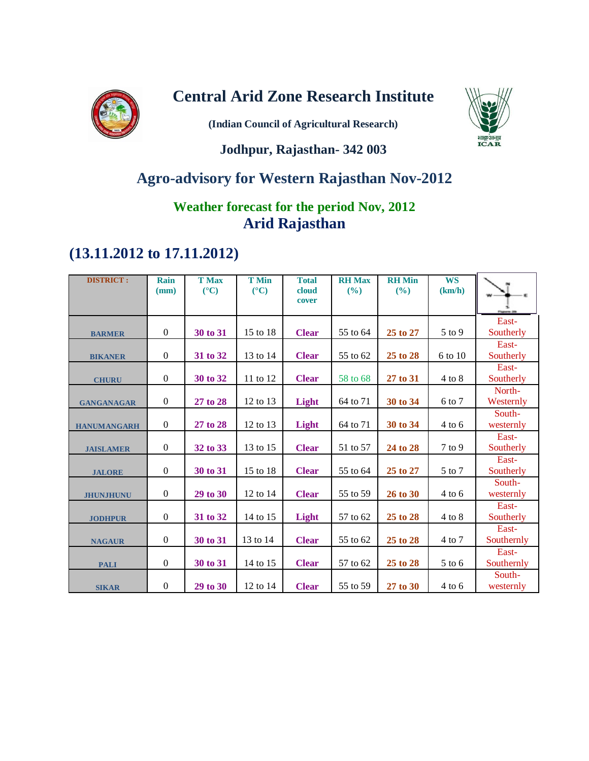

# **Central Arid Zone Research Institute**

**(Indian Council of Agricultural Research)**



### **Jodhpur, Rajasthan- 342 003**

# **Agro-advisory for Western Rajasthan Nov-2012**

### **Weather forecast for the period Nov, 2012 Arid Rajasthan**

# **(13.11.2012 to 17.11.2012)**

| <b>DISTRICT:</b>   | Rain<br>(mm)     | <b>T Max</b><br>$(^{\circ}C)$ | <b>T</b> Min<br>$(^{\circ}C)$ | <b>Total</b><br>cloud<br>cover | <b>RH</b> Max<br>(%) | <b>RH</b> Min<br>(%) | <b>WS</b><br>(km/h) |                     |
|--------------------|------------------|-------------------------------|-------------------------------|--------------------------------|----------------------|----------------------|---------------------|---------------------|
|                    |                  |                               |                               |                                |                      |                      |                     | East-               |
| <b>BARMER</b>      | $\boldsymbol{0}$ | 30 to 31                      | 15 to 18                      | <b>Clear</b>                   | 55 to 64             | 25 to 27             | 5 to 9              | Southerly           |
| <b>BIKANER</b>     | $\boldsymbol{0}$ | 31 to 32                      | 13 to 14                      | <b>Clear</b>                   | 55 to 62             | 25 to 28             | 6 to 10             | East-<br>Southerly  |
| <b>CHURU</b>       | $\overline{0}$   | 30 to 32                      | 11 to 12                      | <b>Clear</b>                   | 58 to 68             | 27 to 31             | $4$ to $8$          | East-<br>Southerly  |
| <b>GANGANAGAR</b>  | $\boldsymbol{0}$ | 27 to 28                      | 12 to 13                      | Light                          | 64 to 71             | 30 to 34             | 6 to 7              | North-<br>Westernly |
| <b>HANUMANGARH</b> | $\boldsymbol{0}$ | 27 to 28                      | 12 to 13                      | Light                          | 64 to 71             | 30 to 34             | $4$ to 6            | South-<br>westernly |
| <b>JAISLAMER</b>   | $\boldsymbol{0}$ | 32 to 33                      | 13 to 15                      | <b>Clear</b>                   | 51 to 57             | 24 to 28             | $7$ to $9$          | East-<br>Southerly  |
| <b>JALORE</b>      | $\boldsymbol{0}$ | 30 to 31                      | 15 to 18                      | <b>Clear</b>                   | 55 to 64             | 25 to 27             | 5 to 7              | East-<br>Southerly  |
| <b>JHUNJHUNU</b>   | $\boldsymbol{0}$ | 29 to 30                      | 12 to 14                      | <b>Clear</b>                   | 55 to 59             | 26 to 30             | $4$ to 6            | South-<br>westernly |
| <b>JODHPUR</b>     | $\boldsymbol{0}$ | 31 to 32                      | 14 to 15                      | Light                          | 57 to 62             | 25 to 28             | $4$ to $8\,$        | East-<br>Southerly  |
| <b>NAGAUR</b>      | $\boldsymbol{0}$ | 30 to 31                      | 13 to 14                      | <b>Clear</b>                   | 55 to 62             | 25 to 28             | 4 to 7              | East-<br>Southernly |
| <b>PALI</b>        | $\boldsymbol{0}$ | 30 to 31                      | 14 to 15                      | <b>Clear</b>                   | 57 to 62             | 25 to 28             | $5$ to $6$          | East-<br>Southernly |
| <b>SIKAR</b>       | $\boldsymbol{0}$ | 29 to 30                      | 12 to 14                      | <b>Clear</b>                   | 55 to 59             | 27 to 30             | $4$ to $6$          | South-<br>westernly |